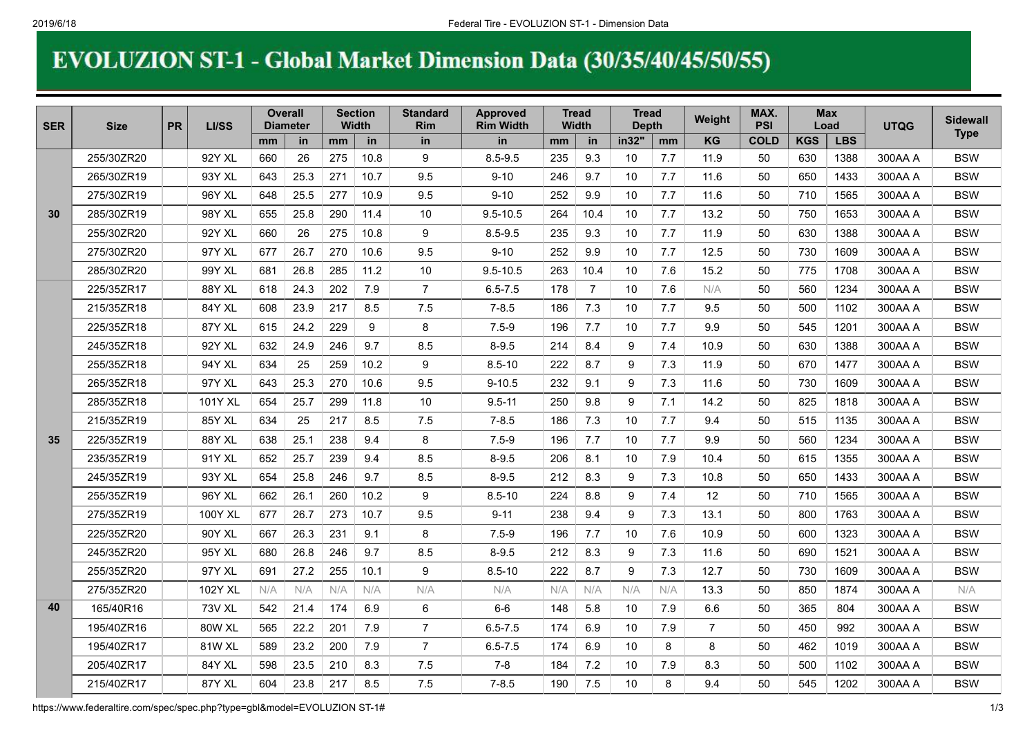## EVOLUZION ST-1 - Global Market Dimension Data (30/35/40/45/50/55)

| <b>SER</b> | <b>Size</b> | <b>PR</b> | LI/SS          | <b>Overall</b><br><b>Diameter</b> |      | Section<br><b>Width</b> |      | <b>Standard</b><br><b>Rim</b> | <b>Approved</b><br><b>Rim Width</b> | <b>Tread</b><br>Width |                | <b>Tread</b><br><b>Depth</b> |     | Weight         | MAX.<br><b>PSI</b> | <b>Max</b><br>Load |            | <b>UTQG</b> | <b>Sidewall</b><br><b>Type</b> |
|------------|-------------|-----------|----------------|-----------------------------------|------|-------------------------|------|-------------------------------|-------------------------------------|-----------------------|----------------|------------------------------|-----|----------------|--------------------|--------------------|------------|-------------|--------------------------------|
|            |             |           |                | mm                                | in   | mm                      | in   | in                            | <b>in</b>                           | mm                    | in             | in32"                        | mm  | <b>KG</b>      | <b>COLD</b>        | <b>KGS</b>         | <b>LBS</b> |             |                                |
| 30         | 255/30ZR20  |           | 92Y XL         | 660                               | 26   | 275                     | 10.8 | 9                             | $8.5 - 9.5$                         | 235                   | 9.3            | 10                           | 7.7 | 11.9           | 50                 | 630                | 1388       | 300AA A     | <b>BSW</b>                     |
|            | 265/30ZR19  |           | 93Y XL         | 643                               | 25.3 | 271                     | 10.7 | 9.5                           | $9 - 10$                            | 246                   | 9.7            | 10                           | 7.7 | 11.6           | 50                 | 650                | 1433       | 300AA A     | <b>BSW</b>                     |
|            | 275/30ZR19  |           | 96Y XL         | 648                               | 25.5 | 277                     | 10.9 | 9.5                           | $9 - 10$                            | 252                   | 9.9            | 10                           | 7.7 | 11.6           | 50                 | 710                | 1565       | 300AA A     | <b>BSW</b>                     |
|            | 285/30ZR19  |           | 98Y XL         | 655                               | 25.8 | 290                     | 11.4 | 10                            | $9.5 - 10.5$                        | 264                   | 10.4           | 10                           | 7.7 | 13.2           | 50                 | 750                | 1653       | 300AA A     | <b>BSW</b>                     |
|            | 255/30ZR20  |           | 92Y XL         | 660                               | 26   | 275                     | 10.8 | 9                             | $8.5 - 9.5$                         | 235                   | 9.3            | 10                           | 7.7 | 11.9           | 50                 | 630                | 1388       | 300AA A     | <b>BSW</b>                     |
|            | 275/30ZR20  |           | 97Y XL         | 677                               | 26.7 | 270                     | 10.6 | 9.5                           | $9 - 10$                            | 252                   | 9.9            | 10                           | 7.7 | 12.5           | 50                 | 730                | 1609       | 300AA A     | <b>BSW</b>                     |
|            | 285/30ZR20  |           | 99Y XL         | 681                               | 26.8 | 285                     | 11.2 | 10                            | $9.5 - 10.5$                        | 263                   | 10.4           | 10                           | 7.6 | 15.2           | 50                 | 775                | 1708       | 300AA A     | <b>BSW</b>                     |
|            | 225/35ZR17  |           | 88Y XL         | 618                               | 24.3 | 202                     | 7.9  | $\overline{7}$                | $6.5 - 7.5$                         | 178                   | $\overline{7}$ | 10                           | 7.6 | N/A            | 50                 | 560                | 1234       | 300AA A     | <b>BSW</b>                     |
|            | 215/35ZR18  |           | 84Y XL         | 608                               | 23.9 | 217                     | 8.5  | 7.5                           | $7 - 8.5$                           | 186                   | 7.3            | 10                           | 7.7 | 9.5            | 50                 | 500                | 1102       | 300AA A     | <b>BSW</b>                     |
|            | 225/35ZR18  |           | 87Y XL         | 615                               | 24.2 | 229                     | 9    | 8                             | $7.5 - 9$                           | 196                   | 7.7            | 10                           | 7.7 | 9.9            | 50                 | 545                | 1201       | 300AA A     | <b>BSW</b>                     |
|            | 245/35ZR18  |           | 92Y XL         | 632                               | 24.9 | 246                     | 9.7  | 8.5                           | $8 - 9.5$                           | 214                   | 8.4            | 9                            | 7.4 | 10.9           | 50                 | 630                | 1388       | 300AA A     | <b>BSW</b>                     |
|            | 255/35ZR18  |           | 94Y XL         | 634                               | 25   | 259                     | 10.2 | 9                             | $8.5 - 10$                          | 222                   | 8.7            | 9                            | 7.3 | 11.9           | 50                 | 670                | 1477       | 300AA A     | <b>BSW</b>                     |
|            | 265/35ZR18  |           | 97Y XL         | 643                               | 25.3 | 270                     | 10.6 | 9.5                           | $9 - 10.5$                          | 232                   | 9.1            | 9                            | 7.3 | 11.6           | 50                 | 730                | 1609       | 300AA A     | <b>BSW</b>                     |
|            | 285/35ZR18  |           | 101Y XL        | 654                               | 25.7 | 299                     | 11.8 | 10                            | $9.5 - 11$                          | 250                   | 9.8            | 9                            | 7.1 | 14.2           | 50                 | 825                | 1818       | 300AA A     | <b>BSW</b>                     |
|            | 215/35ZR19  |           | 85Y XL         | 634                               | 25   | 217                     | 8.5  | 7.5                           | $7 - 8.5$                           | 186                   | 7.3            | 10                           | 7.7 | 9.4            | 50                 | 515                | 1135       | 300AA A     | <b>BSW</b>                     |
| 35         | 225/35ZR19  |           | 88Y XL         | 638                               | 25.1 | 238                     | 9.4  | 8                             | $7.5 - 9$                           | 196                   | 7.7            | 10                           | 7.7 | 9.9            | 50                 | 560                | 1234       | 300AA A     | <b>BSW</b>                     |
|            | 235/35ZR19  |           | 91Y XL         | 652                               | 25.7 | 239                     | 9.4  | 8.5                           | $8 - 9.5$                           | 206                   | 8.1            | 10                           | 7.9 | 10.4           | 50                 | 615                | 1355       | 300AA A     | <b>BSW</b>                     |
|            | 245/35ZR19  |           | 93Y XL         | 654                               | 25.8 | 246                     | 9.7  | 8.5                           | $8 - 9.5$                           | 212                   | 8.3            | 9                            | 7.3 | 10.8           | 50                 | 650                | 1433       | 300AA A     | <b>BSW</b>                     |
|            | 255/35ZR19  |           | 96Y XL         | 662                               | 26.1 | 260                     | 10.2 | 9                             | $8.5 - 10$                          | 224                   | 8.8            | 9                            | 7.4 | 12             | 50                 | 710                | 1565       | 300AA A     | <b>BSW</b>                     |
|            | 275/35ZR19  |           | 100Y XL        | 677                               | 26.7 | 273                     | 10.7 | 9.5                           | $9 - 11$                            | 238                   | 9.4            | 9                            | 7.3 | 13.1           | 50                 | 800                | 1763       | 300AA A     | <b>BSW</b>                     |
|            | 225/35ZR20  |           | <b>90Y XL</b>  | 667                               | 26.3 | 231                     | 9.1  | 8                             | $7.5 - 9$                           | 196                   | 7.7            | 10                           | 7.6 | 10.9           | 50                 | 600                | 1323       | 300AA A     | <b>BSW</b>                     |
|            | 245/35ZR20  |           | 95Y XL         | 680                               | 26.8 | 246                     | 9.7  | 8.5                           | $8 - 9.5$                           | 212                   | 8.3            | 9                            | 7.3 | 11.6           | 50                 | 690                | 1521       | 300AA A     | <b>BSW</b>                     |
|            | 255/35ZR20  |           | 97Y XL         | 691                               | 27.2 | 255                     | 10.1 | 9                             | $8.5 - 10$                          | 222                   | 8.7            | 9                            | 7.3 | 12.7           | 50                 | 730                | 1609       | 300AA A     | <b>BSW</b>                     |
|            | 275/35ZR20  |           | <b>102Y XL</b> | N/A                               | N/A  | N/A                     | N/A  | N/A                           | N/A                                 | N/A                   | N/A            | N/A                          | N/A | 13.3           | 50                 | 850                | 1874       | 300AA A     | N/A                            |
| 40         | 165/40R16   |           | <b>73V XL</b>  | 542                               | 21.4 | 174                     | 6.9  | 6                             | $6-6$                               | 148                   | 5.8            | 10                           | 7.9 | 6.6            | 50                 | 365                | 804        | 300AA A     | <b>BSW</b>                     |
|            | 195/40ZR16  |           | 80W XL         | 565                               | 22.2 | 201                     | 7.9  | $\overline{7}$                | $6.5 - 7.5$                         | 174                   | 6.9            | 10                           | 7.9 | $\overline{7}$ | 50                 | 450                | 992        | 300AA A     | <b>BSW</b>                     |
|            | 195/40ZR17  |           | 81W XL         | 589                               | 23.2 | 200                     | 7.9  | $\overline{7}$                | $6.5 - 7.5$                         | 174                   | 6.9            | 10                           | 8   | 8              | 50                 | 462                | 1019       | 300AA A     | <b>BSW</b>                     |
|            | 205/40ZR17  |           | 84Y XL         | 598                               | 23.5 | 210                     | 8.3  | 7.5                           | $7 - 8$                             | 184                   | 7.2            | 10                           | 7.9 | 8.3            | 50                 | 500                | 1102       | 300AA A     | <b>BSW</b>                     |
|            | 215/40ZR17  |           | 87Y XL         | 604                               | 23.8 | 217                     | 8.5  | 7.5                           | $7 - 8.5$                           | 190                   | 7.5            | 10                           | 8   | 9.4            | 50                 | 545                | 1202       | 300AA A     | <b>BSW</b>                     |

https://www.federaltire.com/spec/spec.php?type=gbl&model=EVOLUZION ST-1# 1/3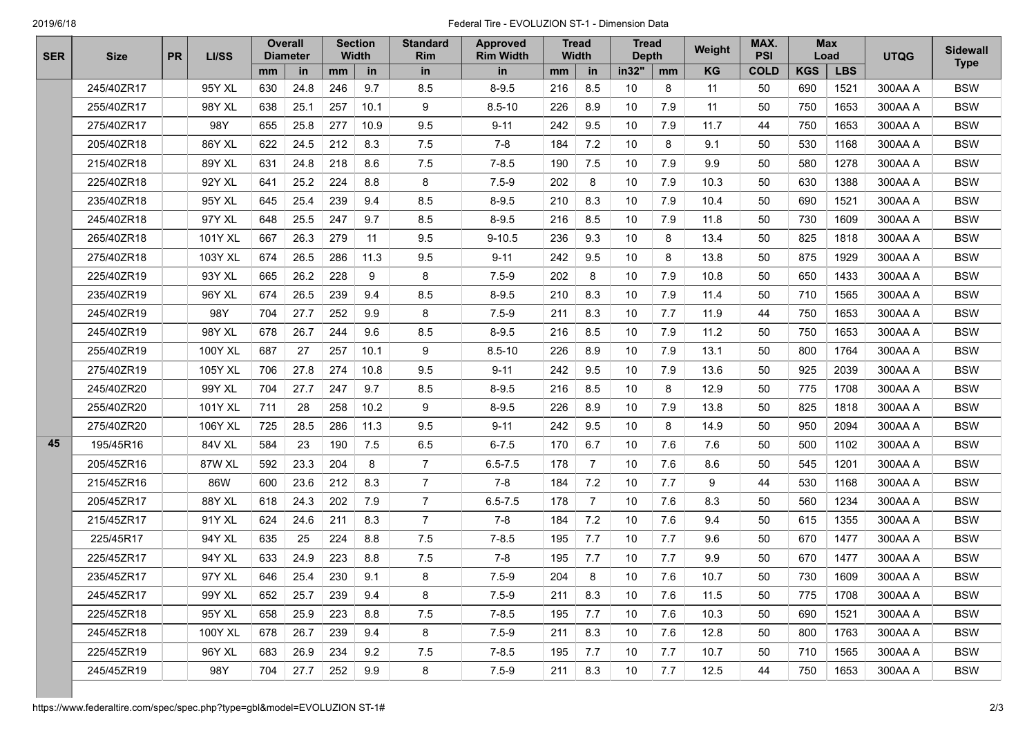## 2019/6/18 Federal Tire - EVOLUZION ST-1 - Dimension Data

| <b>SER</b> | <b>Size</b> | <b>PR</b> | LI/SS   | <b>Overall</b><br><b>Diameter</b> |      | <b>Section</b><br><b>Width</b> |      | <b>Standard</b><br>Rim | <b>Approved</b><br><b>Rim Width</b> | <b>Tread</b><br><b>Width</b> |                | <b>Tread</b><br><b>Depth</b> |     | Weight | MAX.<br><b>PSI</b> | <b>Max</b><br>Load |            | <b>UTQG</b> | <b>Sidewall</b><br><b>Type</b> |
|------------|-------------|-----------|---------|-----------------------------------|------|--------------------------------|------|------------------------|-------------------------------------|------------------------------|----------------|------------------------------|-----|--------|--------------------|--------------------|------------|-------------|--------------------------------|
|            |             |           |         | mm                                | in   | mm                             | in   | in                     | in                                  | mm                           | in             | in32"                        | mm  | KG     | <b>COLD</b>        | <b>KGS</b>         | <b>LBS</b> |             |                                |
|            | 245/40ZR17  |           | 95Y XL  | 630                               | 24.8 | 246                            | 9.7  | 8.5                    | $8 - 9.5$                           | 216                          | 8.5            | 10                           | 8   | 11     | 50                 | 690                | 1521       | 300AA A     | <b>BSW</b>                     |
|            | 255/40ZR17  |           | 98Y XL  | 638                               | 25.1 | 257                            | 10.1 | 9                      | $8.5 - 10$                          | 226                          | 8.9            | 10                           | 7.9 | 11     | 50                 | 750                | 1653       | 300AA A     | <b>BSW</b>                     |
|            | 275/40ZR17  |           | 98Y     | 655                               | 25.8 | 277                            | 10.9 | 9.5                    | $9 - 11$                            | 242                          | 9.5            | 10                           | 7.9 | 11.7   | 44                 | 750                | 1653       | 300AA A     | <b>BSW</b>                     |
|            | 205/40ZR18  |           | 86Y XL  | 622                               | 24.5 | 212                            | 8.3  | 7.5                    | $7 - 8$                             | 184                          | 7.2            | 10                           | 8   | 9.1    | 50                 | 530                | 1168       | 300AA A     | <b>BSW</b>                     |
|            | 215/40ZR18  |           | 89Y XL  | 631                               | 24.8 | 218                            | 8.6  | 7.5                    | $7 - 8.5$                           | 190                          | 7.5            | 10                           | 7.9 | 9.9    | 50                 | 580                | 1278       | 300AA A     | <b>BSW</b>                     |
|            | 225/40ZR18  |           | 92Y XL  | 641                               | 25.2 | 224                            | 8.8  | 8                      | $7.5 - 9$                           | 202                          | 8              | 10                           | 7.9 | 10.3   | 50                 | 630                | 1388       | 300AA A     | <b>BSW</b>                     |
|            | 235/40ZR18  |           | 95Y XL  | 645                               | 25.4 | 239                            | 9.4  | 8.5                    | $8 - 9.5$                           | 210                          | 8.3            | 10                           | 7.9 | 10.4   | 50                 | 690                | 1521       | 300AA A     | <b>BSW</b>                     |
|            | 245/40ZR18  |           | 97Y XL  | 648                               | 25.5 | 247                            | 9.7  | 8.5                    | $8 - 9.5$                           | 216                          | 8.5            | 10                           | 7.9 | 11.8   | 50                 | 730                | 1609       | 300AA A     | <b>BSW</b>                     |
|            | 265/40ZR18  |           | 101Y XL | 667                               | 26.3 | 279                            | 11   | 9.5                    | $9 - 10.5$                          | 236                          | 9.3            | 10                           | 8   | 13.4   | 50                 | 825                | 1818       | 300AA A     | <b>BSW</b>                     |
|            | 275/40ZR18  |           | 103Y XL | 674                               | 26.5 | 286                            | 11.3 | 9.5                    | $9 - 11$                            | 242                          | 9.5            | 10                           | 8   | 13.8   | 50                 | 875                | 1929       | 300AA A     | <b>BSW</b>                     |
|            | 225/40ZR19  |           | 93Y XL  | 665                               | 26.2 | 228                            | 9    | 8                      | $7.5 - 9$                           | 202                          | 8              | 10                           | 7.9 | 10.8   | 50                 | 650                | 1433       | 300AA A     | <b>BSW</b>                     |
|            | 235/40ZR19  |           | 96Y XL  | 674                               | 26.5 | 239                            | 9.4  | 8.5                    | $8 - 9.5$                           | 210                          | 8.3            | 10                           | 7.9 | 11.4   | 50                 | 710                | 1565       | 300AA A     | <b>BSW</b>                     |
|            | 245/40ZR19  |           | 98Y     | 704                               | 27.7 | 252                            | 9.9  | 8                      | $7.5 - 9$                           | 211                          | 8.3            | 10                           | 7.7 | 11.9   | 44                 | 750                | 1653       | 300AA A     | <b>BSW</b>                     |
|            | 245/40ZR19  |           | 98Y XL  | 678                               | 26.7 | 244                            | 9.6  | 8.5                    | $8 - 9.5$                           | 216                          | 8.5            | 10                           | 7.9 | 11.2   | 50                 | 750                | 1653       | 300AA A     | <b>BSW</b>                     |
|            | 255/40ZR19  |           | 100Y XL | 687                               | 27   | 257                            | 10.1 | 9                      | $8.5 - 10$                          | 226                          | 8.9            | 10                           | 7.9 | 13.1   | 50                 | 800                | 1764       | 300AA A     | <b>BSW</b>                     |
|            | 275/40ZR19  |           | 105Y XL | 706                               | 27.8 | 274                            | 10.8 | 9.5                    | $9 - 11$                            | 242                          | 9.5            | 10                           | 7.9 | 13.6   | 50                 | 925                | 2039       | 300AA A     | <b>BSW</b>                     |
|            | 245/40ZR20  |           | 99Y XL  | 704                               | 27.7 | 247                            | 9.7  | 8.5                    | $8 - 9.5$                           | 216                          | 8.5            | 10                           | 8   | 12.9   | 50                 | 775                | 1708       | 300AA A     | <b>BSW</b>                     |
|            | 255/40ZR20  |           | 101Y XL | 711                               | 28   | 258                            | 10.2 | 9                      | $8 - 9.5$                           | 226                          | 8.9            | 10                           | 7.9 | 13.8   | 50                 | 825                | 1818       | 300AA A     | <b>BSW</b>                     |
|            | 275/40ZR20  |           | 106Y XL | 725                               | 28.5 | 286                            | 11.3 | 9.5                    | $9 - 11$                            | 242                          | 9.5            | 10                           | 8   | 14.9   | 50                 | 950                | 2094       | 300AA A     | <b>BSW</b>                     |
| 45         | 195/45R16   |           | 84V XL  | 584                               | 23   | 190                            | 7.5  | 6.5                    | $6 - 7.5$                           | 170                          | 6.7            | 10                           | 7.6 | 7.6    | 50                 | 500                | 1102       | 300AA A     | <b>BSW</b>                     |
|            | 205/45ZR16  |           | 87W XL  | 592                               | 23.3 | 204                            | 8    | $\overline{7}$         | $6.5 - 7.5$                         | 178                          | $\overline{7}$ | 10                           | 7.6 | 8.6    | 50                 | 545                | 1201       | 300AA A     | <b>BSW</b>                     |
|            | 215/45ZR16  |           | 86W     | 600                               | 23.6 | 212                            | 8.3  | $\overline{7}$         | $7 - 8$                             | 184                          | 7.2            | 10                           | 7.7 | 9      | 44                 | 530                | 1168       | 300AA A     | <b>BSW</b>                     |
|            | 205/45ZR17  |           | 88Y XL  | 618                               | 24.3 | 202                            | 7.9  | $\overline{7}$         | $6.5 - 7.5$                         | 178                          | $\overline{7}$ | 10                           | 7.6 | 8.3    | 50                 | 560                | 1234       | 300AA A     | <b>BSW</b>                     |
|            | 215/45ZR17  |           | 91Y XL  | 624                               | 24.6 | 211                            | 8.3  | $\overline{7}$         | $7 - 8$                             | 184                          | 7.2            | 10                           | 7.6 | 9.4    | 50                 | 615                | 1355       | 300AA A     | <b>BSW</b>                     |
|            | 225/45R17   |           | 94Y XL  | 635                               | 25   | 224                            | 8.8  | 7.5                    | $7 - 8.5$                           | 195                          | 7.7            | 10                           | 7.7 | 9.6    | 50                 | 670                | 1477       | 300AA A     | <b>BSW</b>                     |
|            | 225/45ZR17  |           | 94Y XL  | 633                               | 24.9 | 223                            | 8.8  | 7.5                    | $7-8$                               | 195                          | 7.7            | 10                           | 7.7 | 9.9    | 50                 | 670                | 1477       | 300AA A     | <b>BSW</b>                     |
|            | 235/45ZR17  |           | 97Y XL  | 646                               | 25.4 | 230                            | 9.1  | 8                      | $7.5 - 9$                           | 204                          | 8              | 10                           | 7.6 | 10.7   | 50                 | 730                | 1609       | 300AA A     | <b>BSW</b>                     |
|            | 245/45ZR17  |           | 99Y XL  | 652                               | 25.7 | 239                            | 9.4  | 8                      | $7.5 - 9$                           | 211                          | 8.3            | 10                           | 7.6 | 11.5   | 50                 | 775                | 1708       | 300AA A     | <b>BSW</b>                     |
|            | 225/45ZR18  |           | 95Y XL  | 658                               | 25.9 | 223                            | 8.8  | 7.5                    | $7 - 8.5$                           | 195                          | 7.7            | 10                           | 7.6 | 10.3   | 50                 | 690                | 1521       | 300AA A     | <b>BSW</b>                     |
|            | 245/45ZR18  |           | 100Y XL | 678                               | 26.7 | 239                            | 9.4  | 8                      | $7.5 - 9$                           | 211                          | 8.3            | 10                           | 7.6 | 12.8   | 50                 | 800                | 1763       | 300AA A     | <b>BSW</b>                     |
|            | 225/45ZR19  |           | 96Y XL  | 683                               | 26.9 | 234                            | 9.2  | 7.5                    | $7 - 8.5$                           | 195                          | 7.7            | 10                           | 7.7 | 10.7   | 50                 | 710                | 1565       | 300AA A     | <b>BSW</b>                     |
|            | 245/45ZR19  |           | 98Y     | 704                               | 27.7 | 252                            | 9.9  | 8                      | $7.5 - 9$                           | 211                          | 8.3            | 10                           | 7.7 | 12.5   | 44                 | 750                | 1653       | 300AA A     | <b>BSW</b>                     |